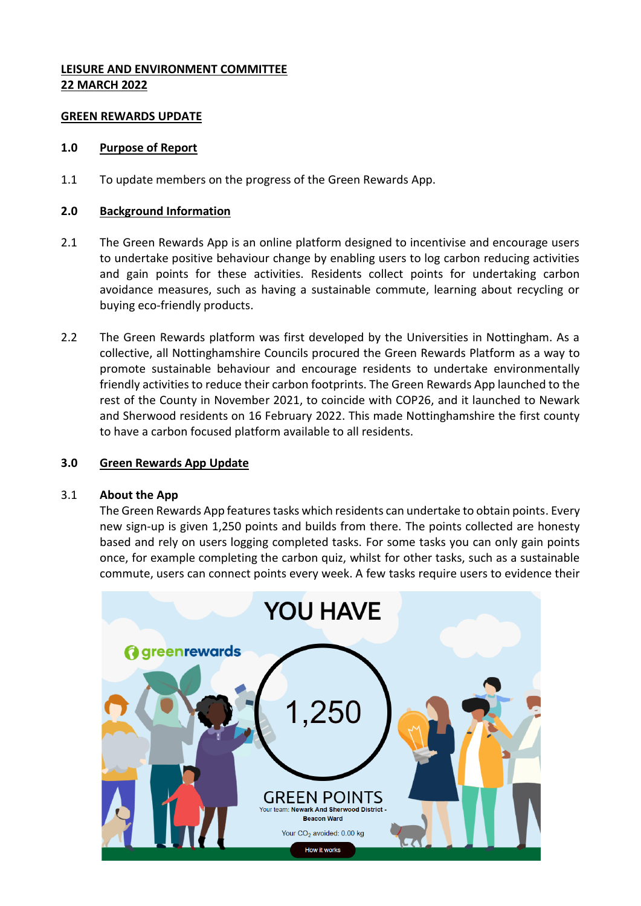## **LEISURE AND ENVIRONMENT COMMITTEE 22 MARCH 2022**

### **GREEN REWARDS UPDATE**

## **1.0 Purpose of Report**

1.1 To update members on the progress of the Green Rewards App.

## **2.0 Background Information**

- 2.1 The Green Rewards App is an online platform designed to incentivise and encourage users to undertake positive behaviour change by enabling users to log carbon reducing activities and gain points for these activities. Residents collect points for undertaking carbon avoidance measures, such as having a sustainable commute, learning about recycling or buying eco-friendly products.
- 2.2 The Green Rewards platform was first developed by the Universities in Nottingham. As a collective, all Nottinghamshire Councils procured the Green Rewards Platform as a way to promote sustainable behaviour and encourage residents to undertake environmentally friendly activities to reduce their carbon footprints. The Green Rewards App launched to the rest of the County in November 2021, to coincide with COP26, and it launched to Newark and Sherwood residents on 16 February 2022. This made Nottinghamshire the first county to have a carbon focused platform available to all residents.

## **3.0 Green Rewards App Update**

#### 3.1 **About the App**

The Green Rewards App features tasks which residents can undertake to obtain points. Every new sign-up is given 1,250 points and builds from there. The points collected are honesty based and rely on users logging completed tasks. For some tasks you can only gain points once, for example completing the carbon quiz, whilst for other tasks, such as a sustainable commute, users can connect points every week. A few tasks require users to evidence their

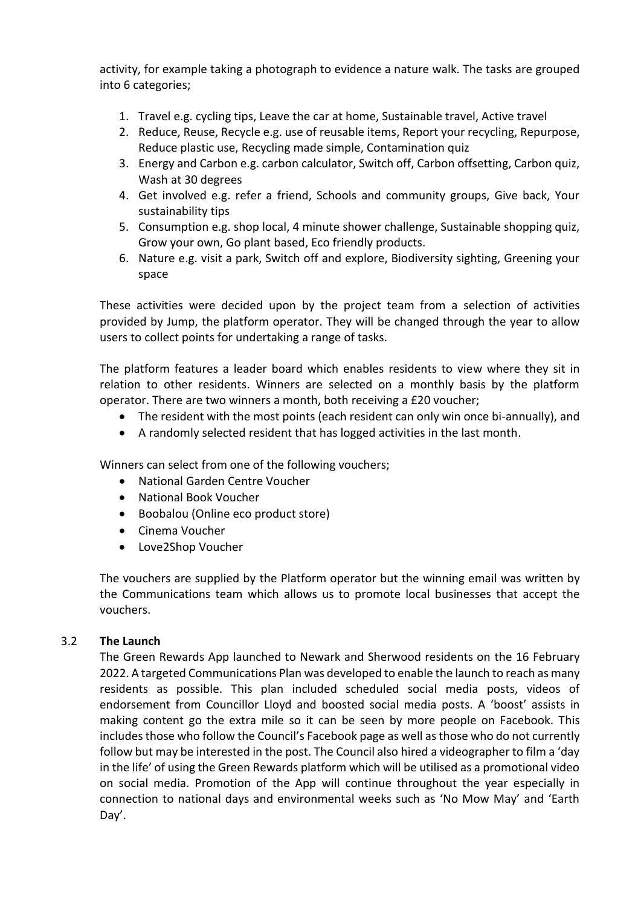activity, for example taking a photograph to evidence a nature walk. The tasks are grouped into 6 categories;

- 1. Travel e.g. cycling tips, Leave the car at home, Sustainable travel, Active travel
- 2. Reduce, Reuse, Recycle e.g. use of reusable items, Report your recycling, Repurpose, Reduce plastic use, Recycling made simple, Contamination quiz
- 3. Energy and Carbon e.g. carbon calculator, Switch off, Carbon offsetting, Carbon quiz, Wash at 30 degrees
- 4. Get involved e.g. refer a friend, Schools and community groups, Give back, Your sustainability tips
- 5. Consumption e.g. shop local, 4 minute shower challenge, Sustainable shopping quiz, Grow your own, Go plant based, Eco friendly products.
- 6. Nature e.g. visit a park, Switch off and explore, Biodiversity sighting, Greening your space

These activities were decided upon by the project team from a selection of activities provided by Jump, the platform operator. They will be changed through the year to allow users to collect points for undertaking a range of tasks.

The platform features a leader board which enables residents to view where they sit in relation to other residents. Winners are selected on a monthly basis by the platform operator. There are two winners a month, both receiving a £20 voucher;

- The resident with the most points (each resident can only win once bi-annually), and
- A randomly selected resident that has logged activities in the last month.

Winners can select from one of the following vouchers;

- National Garden Centre Voucher
- National Book Voucher
- Boobalou (Online eco product store)
- Cinema Voucher
- Love2Shop Voucher

The vouchers are supplied by the Platform operator but the winning email was written by the Communications team which allows us to promote local businesses that accept the vouchers.

#### 3.2 **The Launch**

The Green Rewards App launched to Newark and Sherwood residents on the 16 February 2022. A targeted Communications Plan was developed to enable the launch to reach as many residents as possible. This plan included scheduled social media posts, videos of endorsement from Councillor Lloyd and boosted social media posts. A 'boost' assists in making content go the extra mile so it can be seen by more people on Facebook. This includes those who follow the Council's Facebook page as well asthose who do not currently follow but may be interested in the post. The Council also hired a videographer to film a 'day in the life' of using the Green Rewards platform which will be utilised as a promotional video on social media. Promotion of the App will continue throughout the year especially in connection to national days and environmental weeks such as 'No Mow May' and 'Earth Day'.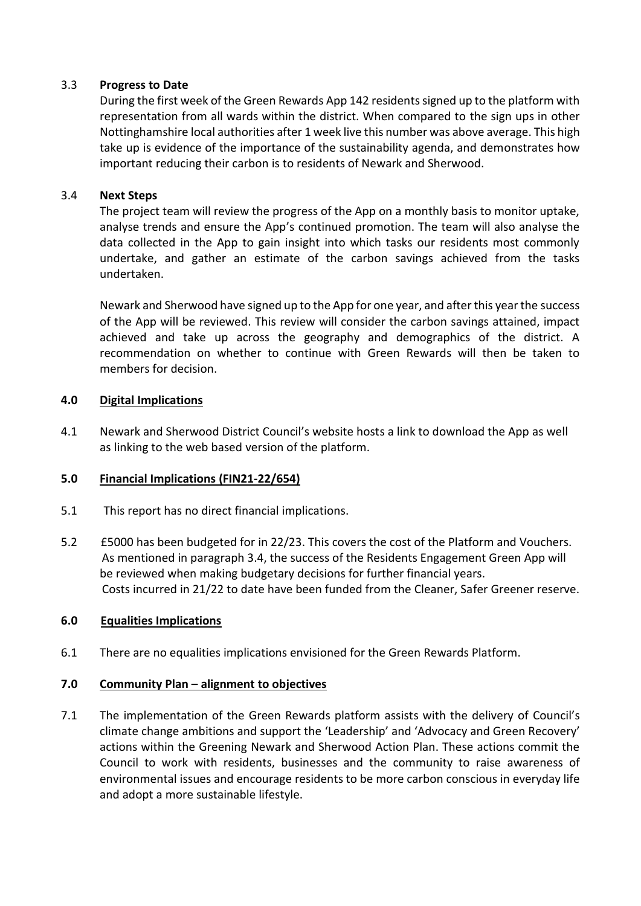## 3.3 **Progress to Date**

During the first week of the Green Rewards App 142 residents signed up to the platform with representation from all wards within the district. When compared to the sign ups in other Nottinghamshire local authorities after 1 week live this number was above average. This high take up is evidence of the importance of the sustainability agenda, and demonstrates how important reducing their carbon is to residents of Newark and Sherwood.

## 3.4 **Next Steps**

The project team will review the progress of the App on a monthly basis to monitor uptake, analyse trends and ensure the App's continued promotion. The team will also analyse the data collected in the App to gain insight into which tasks our residents most commonly undertake, and gather an estimate of the carbon savings achieved from the tasks undertaken.

Newark and Sherwood have signed up to the App for one year, and after this year the success of the App will be reviewed. This review will consider the carbon savings attained, impact achieved and take up across the geography and demographics of the district. A recommendation on whether to continue with Green Rewards will then be taken to members for decision.

## **4.0 Digital Implications**

4.1 Newark and Sherwood District Council's website hosts a link to download the App as well as linking to the web based version of the platform.

#### **5.0 Financial Implications (FIN21-22/654)**

- 5.1 This report has no direct financial implications.
- 5.2 £5000 has been budgeted for in 22/23. This covers the cost of the Platform and Vouchers. As mentioned in paragraph 3.4, the success of the Residents Engagement Green App will be reviewed when making budgetary decisions for further financial years. Costs incurred in 21/22 to date have been funded from the Cleaner, Safer Greener reserve.

#### **6.0 Equalities Implications**

6.1 There are no equalities implications envisioned for the Green Rewards Platform.

#### **7.0 Community Plan – alignment to objectives**

7.1 The implementation of the Green Rewards platform assists with the delivery of Council's climate change ambitions and support the 'Leadership' and 'Advocacy and Green Recovery' actions within the Greening Newark and Sherwood Action Plan. These actions commit the Council to work with residents, businesses and the community to raise awareness of environmental issues and encourage residents to be more carbon conscious in everyday life and adopt a more sustainable lifestyle.